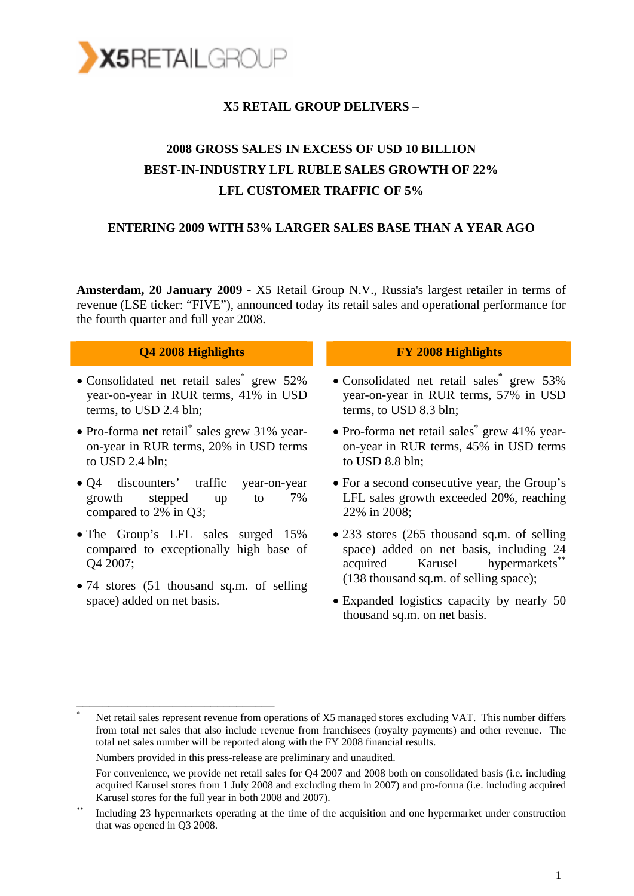

## **X5 RETAIL GROUP DELIVERS –**

# **2008 GROSS SALES IN EXCESS OF USD 10 BILLION BEST-IN-INDUSTRY LFL RUBLE SALES GROWTH OF 22% LFL CUSTOMER TRAFFIC OF 5%**

#### **ENTERING 2009 WITH 53% LARGER SALES BASE THAN A YEAR AGO**

**Amsterdam, 20 January 2009 -** X5 Retail Group N.V., Russia's largest retailer in terms of revenue (LSE ticker: "FIVE"), announced today its retail sales and operational performance for the fourth quarter and full year 2008.

#### **Q4 2008 Highlights FY 2008 Highlights**

- Consolidated net retail sales\* grew 52% year-on-year in RUR terms, 41% in USD terms, to USD 2.4 bln;
- Pro-forma net retail<sup>\*</sup> sales grew 31% yearon-year in RUR terms, 20% in USD terms to USD 2.4 bln;
- Q4 discounters' traffic year-on-year growth stepped up to 7% compared to 2% in Q3;
- The Group's LFL sales surged 15% compared to exceptionally high base of Q4 2007;
- 74 stores (51 thousand sq.m. of selling space) added on net basis.

\_\_\_\_\_\_\_\_\_\_\_\_\_\_\_\_\_\_\_\_\_\_\_\_\_\_\_\_\_\_\_

- Consolidated net retail sales\* grew 53% year-on-year in RUR terms, 57% in USD terms, to USD 8.3 bln;
- Pro-forma net retail sales<sup>\*</sup> grew 41% yearon-year in RUR terms, 45% in USD terms to USD 8.8 bln;
- For a second consecutive year, the Group's LFL sales growth exceeded 20%, reaching 22% in 2008;
- 233 stores (265 thousand sq.m. of selling space) added on net basis, including 24 acquired Karusel hypermarkets<sup>\*</sup> (138 thousand sq.m. of selling space);
- Expanded logistics capacity by nearly 50 thousand sq.m. on net basis.

Net retail sales represent revenue from operations of X5 managed stores excluding VAT. This number differs from total net sales that also include revenue from franchisees (royalty payments) and other revenue. The total net sales number will be reported along with the FY 2008 financial results.

Numbers provided in this press-release are preliminary and unaudited.

For convenience, we provide net retail sales for Q4 2007 and 2008 both on consolidated basis (i.e. including acquired Karusel stores from 1 July 2008 and excluding them in 2007) and pro-forma (i.e. including acquired Karusel stores for the full year in both 2008 and 2007).<br>Including 23 hypermarkets operating at the time of the acquisition and one hypermarket under construction

that was opened in Q3 2008.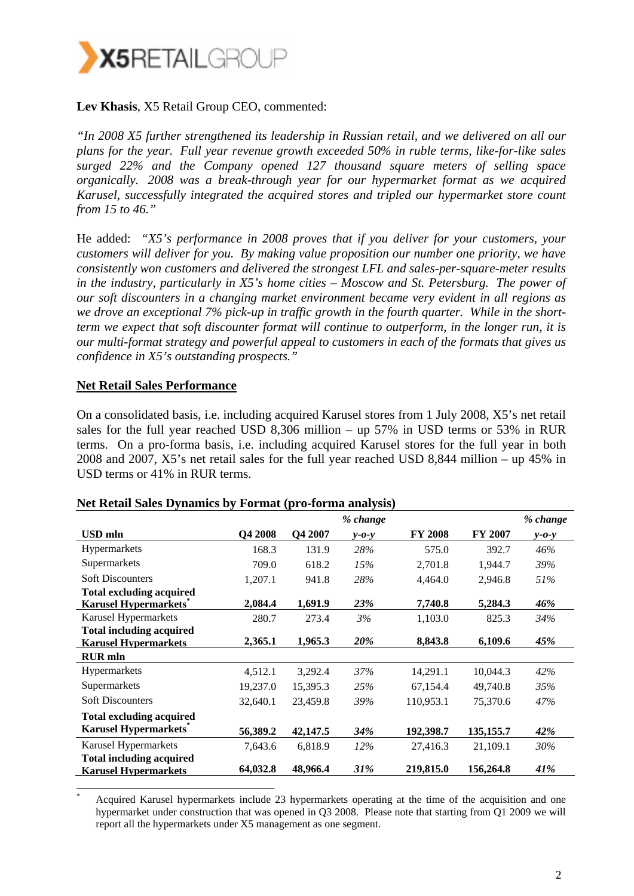

### **Lev Khasis**, X5 Retail Group CEO, commented:

*"In 2008 X5 further strengthened its leadership in Russian retail, and we delivered on all our plans for the year. Full year revenue growth exceeded 50% in ruble terms, like-for-like sales surged 22% and the Company opened 127 thousand square meters of selling space organically. 2008 was a break-through year for our hypermarket format as we acquired Karusel, successfully integrated the acquired stores and tripled our hypermarket store count from 15 to 46."* 

He added: *"X5's performance in 2008 proves that if you deliver for your customers, your customers will deliver for you. By making value proposition our number one priority, we have consistently won customers and delivered the strongest LFL and sales-per-square-meter results in the industry, particularly in X5's home cities – Moscow and St. Petersburg. The power of our soft discounters in a changing market environment became very evident in all regions as we drove an exceptional 7% pick-up in traffic growth in the fourth quarter. While in the shortterm we expect that soft discounter format will continue to outperform, in the longer run, it is our multi-format strategy and powerful appeal to customers in each of the formats that gives us confidence in X5's outstanding prospects."* 

#### **Net Retail Sales Performance**

On a consolidated basis, i.e. including acquired Karusel stores from 1 July 2008, X5's net retail sales for the full year reached USD 8,306 million – up 57% in USD terms or 53% in RUR terms. On a pro-forma basis, i.e. including acquired Karusel stores for the full year in both 2008 and 2007, X5's net retail sales for the full year reached USD 8,844 million – up 45% in USD terms or 41% in RUR terms.

|                                                                  |          |          | % change    |                |                | % change    |
|------------------------------------------------------------------|----------|----------|-------------|----------------|----------------|-------------|
| <b>USD</b> mln                                                   | Q4 2008  | Q4 2007  | $y - 0 - y$ | <b>FY 2008</b> | <b>FY 2007</b> | $y - 0 - y$ |
| Hypermarkets                                                     | 168.3    | 131.9    | 28%         | 575.0          | 392.7          | 46%         |
| Supermarkets                                                     | 709.0    | 618.2    | 15%         | 2,701.8        | 1,944.7        | 39%         |
| <b>Soft Discounters</b>                                          | 1,207.1  | 941.8    | 28%         | 4,464.0        | 2,946.8        | 51%         |
| <b>Total excluding acquired</b><br><b>Karusel Hypermarkets</b> * | 2,084.4  | 1,691.9  | 23%         | 7,740.8        | 5,284.3        | 46%         |
| Karusel Hypermarkets                                             | 280.7    | 273.4    | 3%          | 1,103.0        | 825.3          | 34%         |
| <b>Total including acquired</b><br><b>Karusel Hypermarkets</b>   | 2,365.1  | 1,965.3  | 20%         | 8,843.8        | 6,109.6        | 45%         |
| <b>RUR</b> mln                                                   |          |          |             |                |                |             |
| Hypermarkets                                                     | 4,512.1  | 3,292.4  | 37%         | 14,291.1       | 10,044.3       | 42%         |
| Supermarkets                                                     | 19,237.0 | 15,395.3 | 25%         | 67,154.4       | 49,740.8       | 35%         |
| <b>Soft Discounters</b>                                          | 32,640.1 | 23,459.8 | 39%         | 110,953.1      | 75,370.6       | 47%         |
| <b>Total excluding acquired</b>                                  |          |          |             |                |                |             |
| <b>Karusel Hypermarkets</b>                                      | 56,389.2 | 42,147.5 | 34%         | 192,398.7      | 135, 155.7     | 42%         |
| Karusel Hypermarkets                                             | 7,643.6  | 6,818.9  | $12\%$      | 27,416.3       | 21,109.1       | 30%         |
| <b>Total including acquired</b><br><b>Karusel Hypermarkets</b>   | 64,032.8 | 48,966.4 | <b>31%</b>  | 219,815.0      | 156,264.8      | 41%         |
|                                                                  |          |          |             |                |                |             |

#### **Net Retail Sales Dynamics by Format (pro-forma analysis)**

\* Acquired Karusel hypermarkets include 23 hypermarkets operating at the time of the acquisition and one hypermarket under construction that was opened in Q3 2008. Please note that starting from Q1 2009 we will report all the hypermarkets under X5 management as one segment.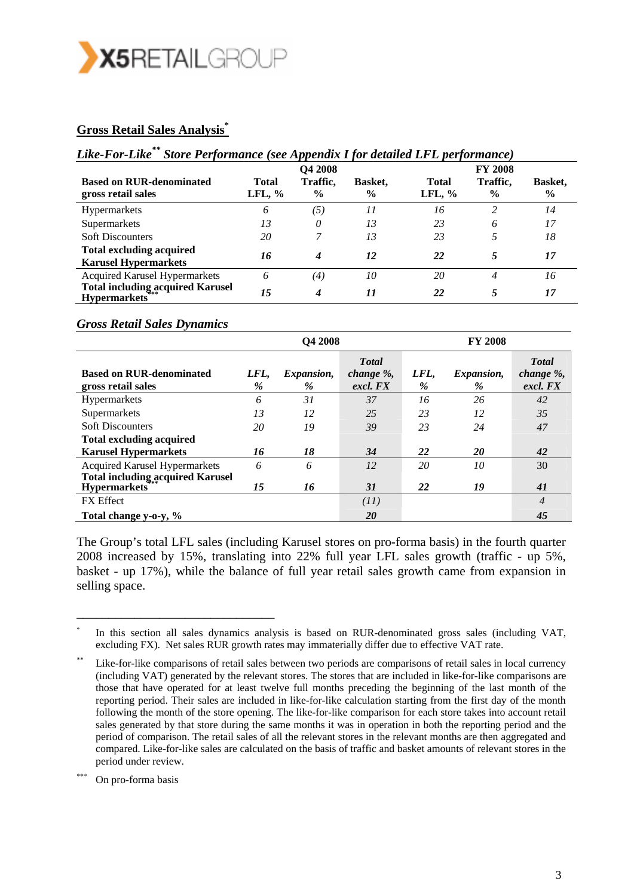

#### **Gross Retail Sales Analysis\***

# *Like-For-Like\*\* Store Performance (see Appendix I for detailed LFL performance)*

|                                                                | <b>O4 2008</b>            |                           |                          | <b>FY 2008</b>           |                           |                                 |  |
|----------------------------------------------------------------|---------------------------|---------------------------|--------------------------|--------------------------|---------------------------|---------------------------------|--|
| <b>Based on RUR-denominated</b><br>gross retail sales          | <b>Total</b><br>LFL, $\%$ | Traffic,<br>$\frac{6}{9}$ | Basket.<br>$\frac{6}{9}$ | <b>Total</b><br>LFL, $%$ | Traffic,<br>$\frac{6}{9}$ | <b>Basket,</b><br>$\frac{6}{9}$ |  |
| <b>Hypermarkets</b>                                            | 6                         | (5)                       | 11                       | 16                       | 2                         | 14                              |  |
| Supermarkets                                                   | 13                        | 0                         | 13                       | 23                       | 6                         | 17                              |  |
| <b>Soft Discounters</b>                                        | 20                        |                           | 13                       | 23                       |                           | 18                              |  |
| <b>Total excluding acquired</b><br><b>Karusel Hypermarkets</b> | 16                        | 4                         | 12                       | 22                       |                           | 17                              |  |
| <b>Acquired Karusel Hypermarkets</b>                           | 6                         | $\left( 4\right)$         | 10                       | 20                       | 4                         | 16                              |  |
| <b>Total including acquired Karusel</b><br><b>Hypermarkets</b> | 15                        | 4                         | 11                       | 22                       |                           | 17                              |  |

#### *Gross Retail Sales Dynamics*

|                                                                                 | Q4 2008      |                           |                                        | <b>FY 2008</b>        |                 |                                        |
|---------------------------------------------------------------------------------|--------------|---------------------------|----------------------------------------|-----------------------|-----------------|----------------------------------------|
| <b>Based on RUR-denominated</b><br>gross retail sales                           | LFL,<br>$\%$ | <i>Expansion,</i><br>$\%$ | <b>T</b> otal<br>change %,<br>excl. FX | LFL,<br>$\frac{9}{6}$ | Expansion,<br>% | <b>T</b> otal<br>change %,<br>excl. FX |
| <b>Hypermarkets</b>                                                             | 6            | 31                        | 37                                     | 16                    | 26              | 42                                     |
| Supermarkets                                                                    | 13           | 12                        | 25                                     | 23                    | 12              | 35                                     |
| <b>Soft Discounters</b>                                                         | 20           | 19                        | 39                                     | 23                    | 24              | 47                                     |
| <b>Total excluding acquired</b>                                                 |              |                           |                                        |                       |                 |                                        |
| <b>Karusel Hypermarkets</b>                                                     | 16           | 18                        | 34                                     | 22                    | <b>20</b>       | 42                                     |
| <b>Acquired Karusel Hypermarkets</b><br><b>Total including acquired Karusel</b> | 6            | 6                         | 12                                     | 20                    | 10              | 30                                     |
| <b>Hypermarkets</b>                                                             | 15           | 16                        | 31                                     | 22                    | 19              | 41                                     |
| <b>FX</b> Effect                                                                |              |                           | (11)                                   |                       |                 | $\overline{4}$                         |
| Total change y-o-y, %                                                           |              |                           | 20                                     |                       |                 | 45                                     |

The Group's total LFL sales (including Karusel stores on pro-forma basis) in the fourth quarter 2008 increased by 15%, translating into 22% full year LFL sales growth (traffic - up 5%, basket - up 17%), while the balance of full year retail sales growth came from expansion in selling space.

\_\_\_\_\_\_\_\_\_\_\_\_\_\_\_\_\_\_\_\_\_\_\_\_\_\_\_\_\_\_\_

In this section all sales dynamics analysis is based on RUR-denominated gross sales (including VAT, excluding FX). Net sales RUR growth rates may immaterially differ due to effective VAT rate.

Like-for-like comparisons of retail sales between two periods are comparisons of retail sales in local currency (including VAT) generated by the relevant stores. The stores that are included in like-for-like comparisons are those that have operated for at least twelve full months preceding the beginning of the last month of the reporting period. Their sales are included in like-for-like calculation starting from the first day of the month following the month of the store opening. The like-for-like comparison for each store takes into account retail sales generated by that store during the same months it was in operation in both the reporting period and the period of comparison. The retail sales of all the relevant stores in the relevant months are then aggregated and compared. Like-for-like sales are calculated on the basis of traffic and basket amounts of relevant stores in the period under review.

On pro-forma basis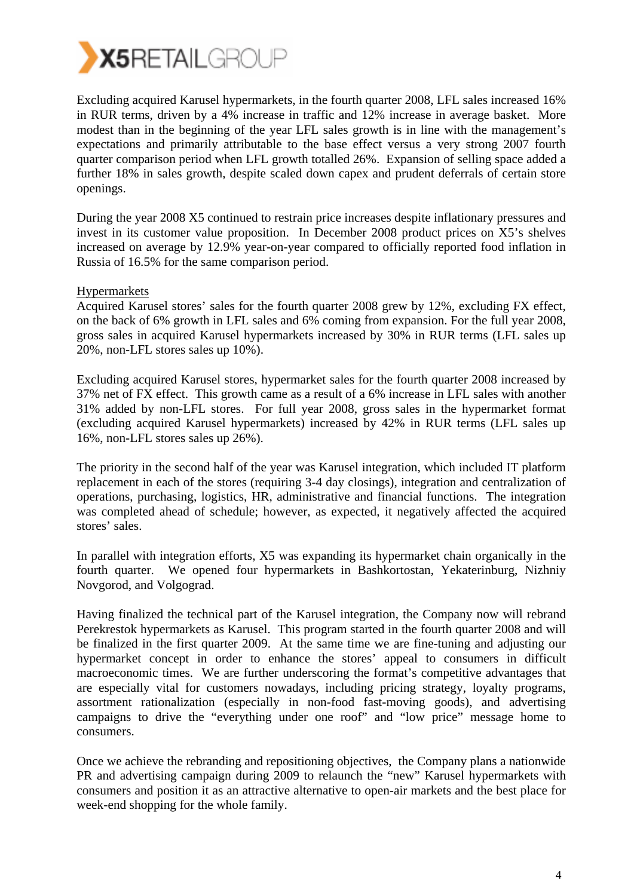

Excluding acquired Karusel hypermarkets, in the fourth quarter 2008, LFL sales increased 16% in RUR terms, driven by a 4% increase in traffic and 12% increase in average basket. More modest than in the beginning of the year LFL sales growth is in line with the management's expectations and primarily attributable to the base effect versus a very strong 2007 fourth quarter comparison period when LFL growth totalled 26%. Expansion of selling space added a further 18% in sales growth, despite scaled down capex and prudent deferrals of certain store openings.

During the year 2008 X5 continued to restrain price increases despite inflationary pressures and invest in its customer value proposition. In December 2008 product prices on X5's shelves increased on average by 12.9% year-on-year compared to officially reported food inflation in Russia of 16.5% for the same comparison period.

#### Hypermarkets

Acquired Karusel stores' sales for the fourth quarter 2008 grew by 12%, excluding FX effect, on the back of 6% growth in LFL sales and 6% coming from expansion. For the full year 2008, gross sales in acquired Karusel hypermarkets increased by 30% in RUR terms (LFL sales up 20%, non-LFL stores sales up 10%).

Excluding acquired Karusel stores, hypermarket sales for the fourth quarter 2008 increased by 37% net of FX effect. This growth came as a result of a 6% increase in LFL sales with another 31% added by non-LFL stores. For full year 2008, gross sales in the hypermarket format (excluding acquired Karusel hypermarkets) increased by 42% in RUR terms (LFL sales up 16%, non-LFL stores sales up 26%).

The priority in the second half of the year was Karusel integration, which included IT platform replacement in each of the stores (requiring 3-4 day closings), integration and centralization of operations, purchasing, logistics, HR, administrative and financial functions. The integration was completed ahead of schedule; however, as expected, it negatively affected the acquired stores' sales.

In parallel with integration efforts, X5 was expanding its hypermarket chain organically in the fourth quarter. We opened four hypermarkets in Bashkortostan, Yekaterinburg, Nizhniy Novgorod, and Volgograd.

Having finalized the technical part of the Karusel integration, the Company now will rebrand Perekrestok hypermarkets as Karusel. This program started in the fourth quarter 2008 and will be finalized in the first quarter 2009. At the same time we are fine-tuning and adjusting our hypermarket concept in order to enhance the stores' appeal to consumers in difficult macroeconomic times. We are further underscoring the format's competitive advantages that are especially vital for customers nowadays, including pricing strategy, loyalty programs, assortment rationalization (especially in non-food fast-moving goods), and advertising campaigns to drive the "everything under one roof" and "low price" message home to consumers.

Once we achieve the rebranding and repositioning objectives, the Company plans a nationwide PR and advertising campaign during 2009 to relaunch the "new" Karusel hypermarkets with consumers and position it as an attractive alternative to open-air markets and the best place for week-end shopping for the whole family.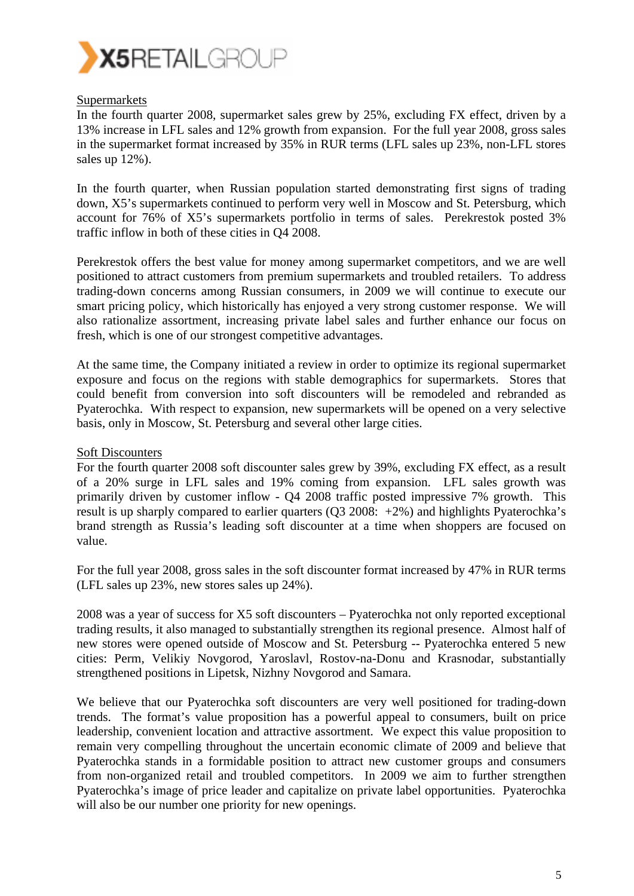

#### Supermarkets

In the fourth quarter 2008, supermarket sales grew by 25%, excluding FX effect, driven by a 13% increase in LFL sales and 12% growth from expansion. For the full year 2008, gross sales in the supermarket format increased by 35% in RUR terms (LFL sales up 23%, non-LFL stores sales up 12%).

In the fourth quarter, when Russian population started demonstrating first signs of trading down, X5's supermarkets continued to perform very well in Moscow and St. Petersburg, which account for 76% of X5's supermarkets portfolio in terms of sales. Perekrestok posted 3% traffic inflow in both of these cities in Q4 2008.

Perekrestok offers the best value for money among supermarket competitors, and we are well positioned to attract customers from premium supermarkets and troubled retailers. To address trading-down concerns among Russian consumers, in 2009 we will continue to execute our smart pricing policy, which historically has enjoyed a very strong customer response. We will also rationalize assortment, increasing private label sales and further enhance our focus on fresh, which is one of our strongest competitive advantages.

At the same time, the Company initiated a review in order to optimize its regional supermarket exposure and focus on the regions with stable demographics for supermarkets. Stores that could benefit from conversion into soft discounters will be remodeled and rebranded as Pyaterochka. With respect to expansion, new supermarkets will be opened on a very selective basis, only in Moscow, St. Petersburg and several other large cities.

#### Soft Discounters

For the fourth quarter 2008 soft discounter sales grew by 39%, excluding FX effect, as a result of a 20% surge in LFL sales and 19% coming from expansion. LFL sales growth was primarily driven by customer inflow - Q4 2008 traffic posted impressive 7% growth. This result is up sharply compared to earlier quarters (Q3 2008: +2%) and highlights Pyaterochka's brand strength as Russia's leading soft discounter at a time when shoppers are focused on value.

For the full year 2008, gross sales in the soft discounter format increased by 47% in RUR terms (LFL sales up 23%, new stores sales up 24%).

2008 was a year of success for X5 soft discounters – Pyaterochka not only reported exceptional trading results, it also managed to substantially strengthen its regional presence. Almost half of new stores were opened outside of Moscow and St. Petersburg -- Pyaterochka entered 5 new cities: Perm, Velikiy Novgorod, Yaroslavl, Rostov-na-Donu and Krasnodar, substantially strengthened positions in Lipetsk, Nizhny Novgorod and Samara.

We believe that our Pyaterochka soft discounters are very well positioned for trading-down trends. The format's value proposition has a powerful appeal to consumers, built on price leadership, convenient location and attractive assortment. We expect this value proposition to remain very compelling throughout the uncertain economic climate of 2009 and believe that Pyaterochka stands in a formidable position to attract new customer groups and consumers from non-organized retail and troubled competitors. In 2009 we aim to further strengthen Pyaterochka's image of price leader and capitalize on private label opportunities. Pyaterochka will also be our number one priority for new openings.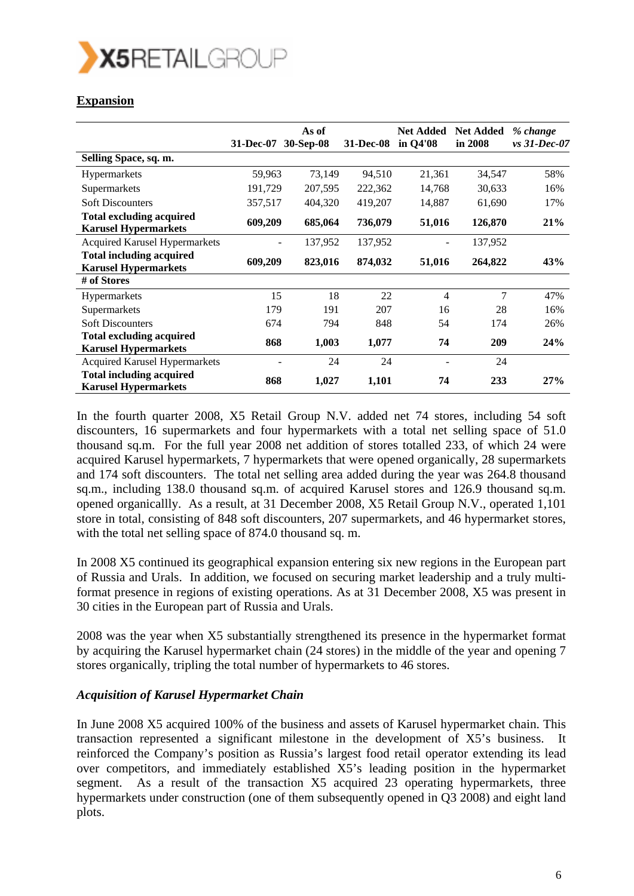

# **Expansion**

|                                                                | 31-Dec-07 | As of<br>30-Sep-08 | <b>31-Dec-08</b> | <b>Net Added</b><br>in Q4'08 | <b>Net Added</b><br>in 2008 | % change<br>$vs$ 31-Dec-07 |
|----------------------------------------------------------------|-----------|--------------------|------------------|------------------------------|-----------------------------|----------------------------|
| Selling Space, sq. m.                                          |           |                    |                  |                              |                             |                            |
| <b>Hypermarkets</b>                                            | 59,963    | 73,149             | 94,510           | 21,361                       | 34,547                      | 58%                        |
| Supermarkets                                                   | 191,729   | 207,595            | 222,362          | 14,768                       | 30,633                      | 16%                        |
| <b>Soft Discounters</b>                                        | 357,517   | 404,320            | 419,207          | 14,887                       | 61,690                      | 17%                        |
| <b>Total excluding acquired</b><br><b>Karusel Hypermarkets</b> | 609,209   | 685,064            | 736,079          | 51,016                       | 126,870                     | 21%                        |
| <b>Acquired Karusel Hypermarkets</b>                           |           | 137,952            | 137,952          |                              | 137,952                     |                            |
| <b>Total including acquired</b><br><b>Karusel Hypermarkets</b> | 609,209   | 823,016            | 874,032          | 51,016                       | 264,822                     | 43%                        |
| # of Stores                                                    |           |                    |                  |                              |                             |                            |
| <b>Hypermarkets</b>                                            | 15        | 18                 | 22               | 4                            | $\overline{7}$              | 47%                        |
| Supermarkets                                                   | 179       | 191                | 207              | 16                           | 28                          | 16%                        |
| <b>Soft Discounters</b>                                        | 674       | 794                | 848              | 54                           | 174                         | 26%                        |
| <b>Total excluding acquired</b><br><b>Karusel Hypermarkets</b> | 868       | 1,003              | 1,077            | 74                           | 209                         | 24%                        |
| <b>Acquired Karusel Hypermarkets</b>                           |           | 24                 | 24               |                              | 24                          |                            |
| <b>Total including acquired</b><br><b>Karusel Hypermarkets</b> | 868       | 1,027              | 1,101            | 74                           | 233                         | 27%                        |

In the fourth quarter 2008, X5 Retail Group N.V. added net 74 stores, including 54 soft discounters, 16 supermarkets and four hypermarkets with a total net selling space of 51.0 thousand sq.m. For the full year 2008 net addition of stores totalled 233, of which 24 were acquired Karusel hypermarkets, 7 hypermarkets that were opened organically, 28 supermarkets and 174 soft discounters. The total net selling area added during the year was 264.8 thousand sq.m., including 138.0 thousand sq.m. of acquired Karusel stores and 126.9 thousand sq.m. opened organicallly. As a result, at 31 December 2008, X5 Retail Group N.V., operated 1,101 store in total, consisting of 848 soft discounters, 207 supermarkets, and 46 hypermarket stores, with the total net selling space of 874.0 thousand sq. m.

In 2008 X5 continued its geographical expansion entering six new regions in the European part of Russia and Urals. In addition, we focused on securing market leadership and a truly multiformat presence in regions of existing operations. As at 31 December 2008, X5 was present in 30 cities in the European part of Russia and Urals.

2008 was the year when X5 substantially strengthened its presence in the hypermarket format by acquiring the Karusel hypermarket chain (24 stores) in the middle of the year and opening 7 stores organically, tripling the total number of hypermarkets to 46 stores.

#### *Acquisition of Karusel Hypermarket Chain*

In June 2008 X5 acquired 100% of the business and assets of Karusel hypermarket chain. This transaction represented a significant milestone in the development of X5's business. It reinforced the Company's position as Russia's largest food retail operator extending its lead over competitors, and immediately established X5's leading position in the hypermarket segment. As a result of the transaction X5 acquired 23 operating hypermarkets, three hypermarkets under construction (one of them subsequently opened in Q3 2008) and eight land plots.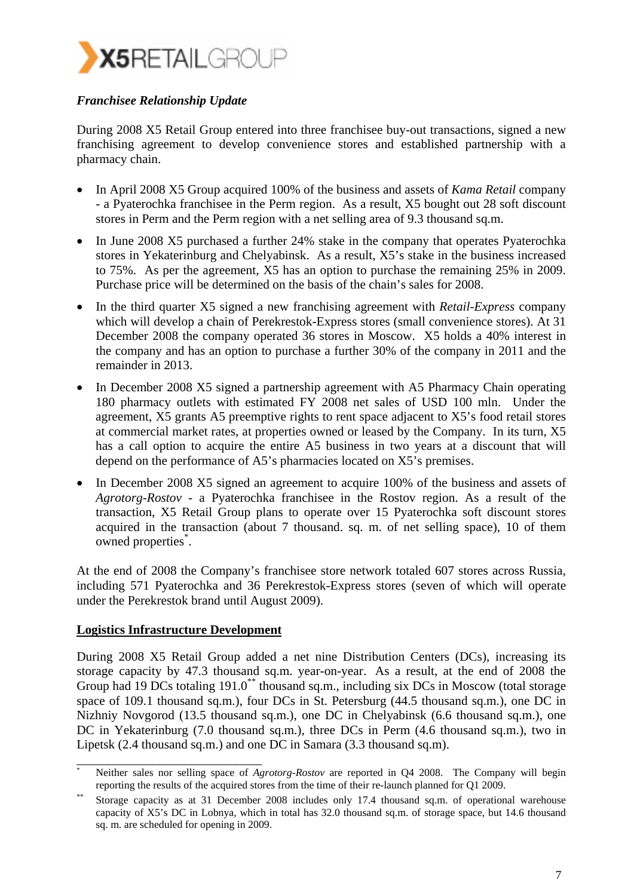

## *Franchisee Relationship Update*

During 2008 X5 Retail Group entered into three franchisee buy-out transactions, signed a new franchising agreement to develop convenience stores and established partnership with a pharmacy chain.

- In April 2008 X5 Group acquired 100% of the business and assets of *Kama Retail* company - a Pyaterochka franchisee in the Perm region. As a result, X5 bought out 28 soft discount stores in Perm and the Perm region with a net selling area of 9.3 thousand sq.m.
- In June 2008 X5 purchased a further 24% stake in the company that operates Pyaterochka stores in Yekaterinburg and Chelyabinsk. As a result, X5's stake in the business increased to 75%. As per the agreement, X5 has an option to purchase the remaining 25% in 2009. Purchase price will be determined on the basis of the chain's sales for 2008.
- In the third quarter X5 signed a new franchising agreement with *Retail-Express* company which will develop a chain of Perekrestok-Express stores (small convenience stores). At 31 December 2008 the company operated 36 stores in Moscow. X5 holds a 40% interest in the company and has an option to purchase a further 30% of the company in 2011 and the remainder in 2013.
- In December 2008 X5 signed a partnership agreement with A5 Pharmacy Chain operating 180 pharmacy outlets with estimated FY 2008 net sales of USD 100 mln. Under the agreement, X5 grants A5 preemptive rights to rent space adjacent to X5's food retail stores at commercial market rates, at properties owned or leased by the Company. In its turn, X5 has a call option to acquire the entire A5 business in two years at a discount that will depend on the performance of A5's pharmacies located on X5's premises.
- In December 2008 X5 signed an agreement to acquire 100% of the business and assets of *Agrotorg-Rostov* - a Pyaterochka franchisee in the Rostov region. As a result of the transaction, X5 Retail Group plans to operate over 15 Pyaterochka soft discount stores acquired in the transaction (about 7 thousand. sq. m. of net selling space), 10 of them owned properties\* .

At the end of 2008 the Company's franchisee store network totaled 607 stores across Russia, including 571 Pyaterochka and 36 Perekrestok-Express stores (seven of which will operate under the Perekrestok brand until August 2009).

#### **Logistics Infrastructure Development**

During 2008 X5 Retail Group added a net nine Distribution Centers (DCs), increasing its storage capacity by 47.3 thousand sq.m. year-on-year. As a result, at the end of 2008 the Group had 19 DCs totaling 191.0<sup>\*\*</sup> thousand sq.m., including six DCs in Moscow (total storage space of 109.1 thousand sq.m.), four DCs in St. Petersburg (44.5 thousand sq.m.), one DC in Nizhniy Novgorod (13.5 thousand sq.m.), one DC in Chelyabinsk (6.6 thousand sq.m.), one DC in Yekaterinburg (7.0 thousand sq.m.), three DCs in Perm (4.6 thousand sq.m.), two in Lipetsk (2.4 thousand sq.m.) and one DC in Samara (3.3 thousand sq.m).

\_\_\_\_\_\_\_\_\_\_\_\_\_\_\_\_\_\_\_\_\_\_\_\_\_\_\_\_\_ Neither sales nor selling space of *Agrotorg-Rostov* are reported in Q4 2008. The Company will begin reporting the results of the acquired stores from the time of their re-launch planned for Q1 2009.<br>Storage capacity as at 31 December 2008 includes only 17.4 thousand sq.m. of operational warehouse

capacity of X5's DC in Lobnya, which in total has 32.0 thousand sq.m. of storage space, but 14.6 thousand sq. m. are scheduled for opening in 2009.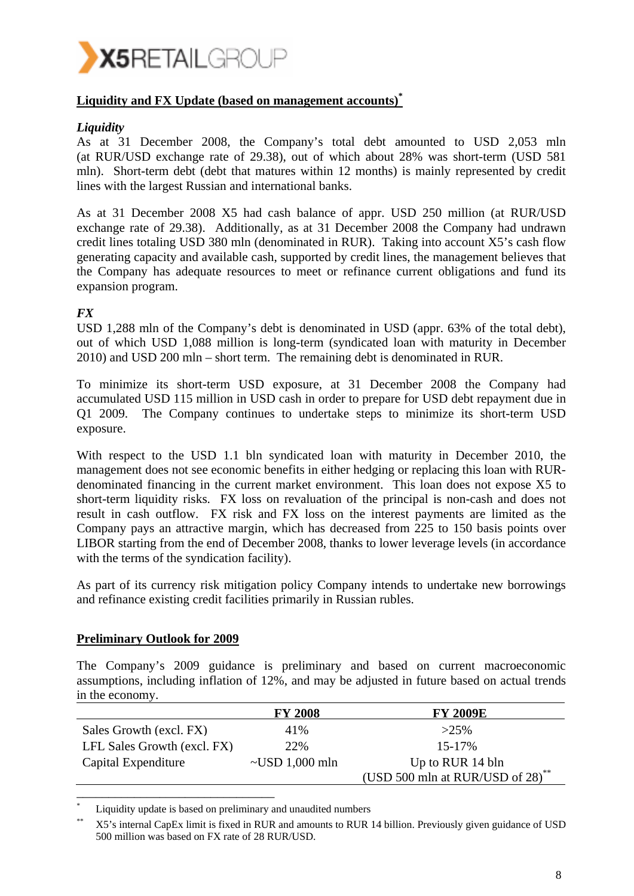

## **Liquidity and FX Update (based on management accounts)\***

#### *Liquidity*

As at 31 December 2008, the Company's total debt amounted to USD 2,053 mln (at RUR/USD exchange rate of 29.38), out of which about 28% was short-term (USD 581 mln). Short-term debt (debt that matures within 12 months) is mainly represented by credit lines with the largest Russian and international banks.

As at 31 December 2008 X5 had cash balance of appr. USD 250 million (at RUR/USD exchange rate of 29.38). Additionally, as at 31 December 2008 the Company had undrawn credit lines totaling USD 380 mln (denominated in RUR). Taking into account X5's cash flow generating capacity and available cash, supported by credit lines, the management believes that the Company has adequate resources to meet or refinance current obligations and fund its expansion program.

#### *FX*

USD 1,288 mln of the Company's debt is denominated in USD (appr. 63% of the total debt), out of which USD 1,088 million is long-term (syndicated loan with maturity in December 2010) and USD 200 mln – short term. The remaining debt is denominated in RUR.

To minimize its short-term USD exposure, at 31 December 2008 the Company had accumulated USD 115 million in USD cash in order to prepare for USD debt repayment due in Q1 2009. The Company continues to undertake steps to minimize its short-term USD exposure.

With respect to the USD 1.1 bln syndicated loan with maturity in December 2010, the management does not see economic benefits in either hedging or replacing this loan with RURdenominated financing in the current market environment. This loan does not expose X5 to short-term liquidity risks. FX loss on revaluation of the principal is non-cash and does not result in cash outflow. FX risk and FX loss on the interest payments are limited as the Company pays an attractive margin, which has decreased from 225 to 150 basis points over LIBOR starting from the end of December 2008, thanks to lower leverage levels (in accordance with the terms of the syndication facility).

As part of its currency risk mitigation policy Company intends to undertake new borrowings and refinance existing credit facilities primarily in Russian rubles.

#### **Preliminary Outlook for 2009**

The Company's 2009 guidance is preliminary and based on current macroeconomic assumptions, including inflation of 12%, and may be adjusted in future based on actual trends in the economy.

|                             | <b>FY 2008</b>       | <b>FY 2009E</b>                  |
|-----------------------------|----------------------|----------------------------------|
| Sales Growth (excl. FX)     | 41%                  | $>25\%$                          |
| LFL Sales Growth (excl. FX) | 22%                  | $15 - 17\%$                      |
| Capital Expenditure         | $\sim$ USD 1,000 mln | Up to RUR 14 bln                 |
|                             |                      | (USD 500 mln at RUR/USD of 28)** |
|                             |                      |                                  |

\* Liquidity update is based on preliminary and unaudited numbers

<sup>\*\*</sup> X5's internal CapEx limit is fixed in RUR and amounts to RUR 14 billion. Previously given guidance of USD 500 million was based on FX rate of 28 RUR/USD.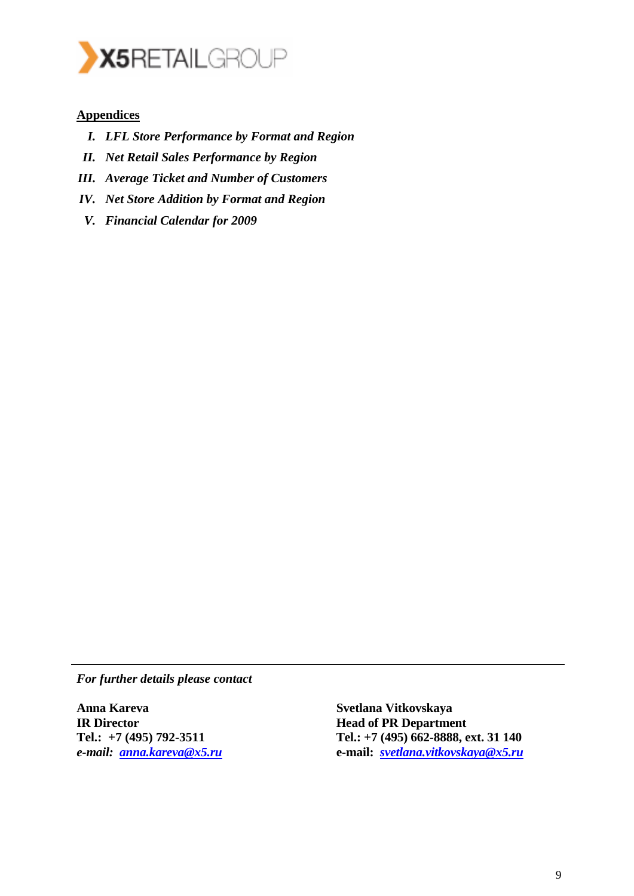

## **Appendices**

- *I. LFL Store Performance by Format and Region*
- *II. Net Retail Sales Performance by Region*
- *III. Average Ticket and Number of Customers*
- *IV. Net Store Addition by Format and Region*
- *V. Financial Calendar for 2009*

*For further details please contact* 

**Anna Kareva IR Director Tel.: +7 (495) 792-3511**  *e-mail: anna.kareva@x5.ru*

**Svetlana Vitkovskaya Head of PR Department Tel.: +7 (495) 662-8888, ext. 31 140 e-mail:** *svetlana.vitkovskaya@x5.ru*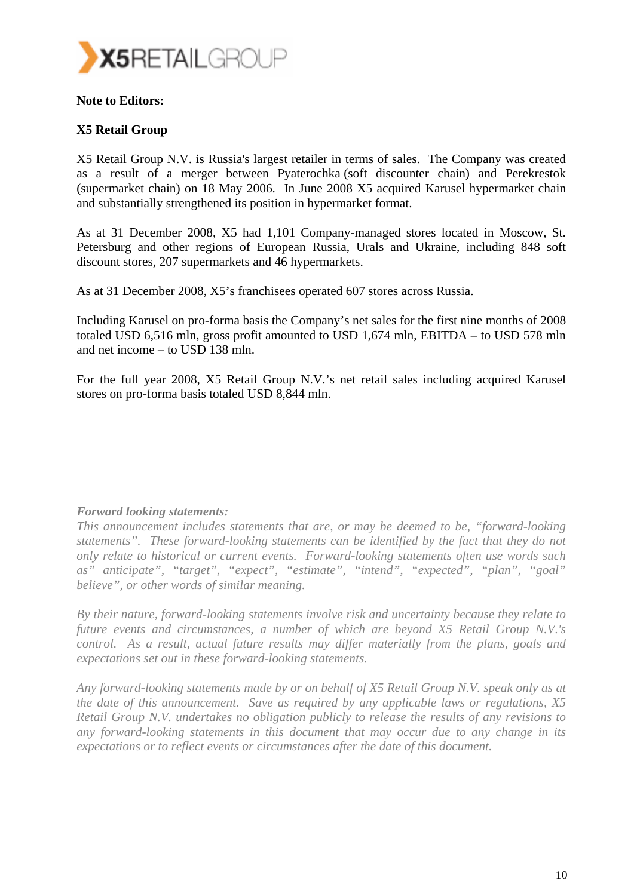

### **Note to Editors:**

## **X5 Retail Group**

X5 Retail Group N.V. is Russia's largest retailer in terms of sales. The Company was created as a result of a merger between Pyaterochka (soft discounter chain) and Perekrestok (supermarket chain) on 18 May 2006. In June 2008 X5 acquired Karusel hypermarket chain and substantially strengthened its position in hypermarket format.

As at 31 December 2008, X5 had 1,101 Company-managed stores located in Moscow, St. Petersburg and other regions of European Russia, Urals and Ukraine, including 848 soft discount stores, 207 supermarkets and 46 hypermarkets.

As at 31 December 2008, X5's franchisees operated 607 stores across Russia.

Including Karusel on pro-forma basis the Company's net sales for the first nine months of 2008 totaled USD 6,516 mln, gross profit amounted to USD 1,674 mln, EBITDA – to USD 578 mln and net income – to USD 138 mln.

For the full year 2008, X5 Retail Group N.V.'s net retail sales including acquired Karusel stores on pro-forma basis totaled USD 8,844 mln.

#### *Forward looking statements:*

*This announcement includes statements that are, or may be deemed to be, "forward-looking statements". These forward-looking statements can be identified by the fact that they do not only relate to historical or current events. Forward-looking statements often use words such as" anticipate", "target", "expect", "estimate", "intend", "expected", "plan", "goal" believe", or other words of similar meaning.* 

*By their nature, forward-looking statements involve risk and uncertainty because they relate to future events and circumstances, a number of which are beyond X5 Retail Group N.V.'s control. As a result, actual future results may differ materially from the plans, goals and expectations set out in these forward-looking statements.* 

*Any forward-looking statements made by or on behalf of X5 Retail Group N.V. speak only as at the date of this announcement. Save as required by any applicable laws or regulations, X5 Retail Group N.V. undertakes no obligation publicly to release the results of any revisions to any forward-looking statements in this document that may occur due to any change in its expectations or to reflect events or circumstances after the date of this document.*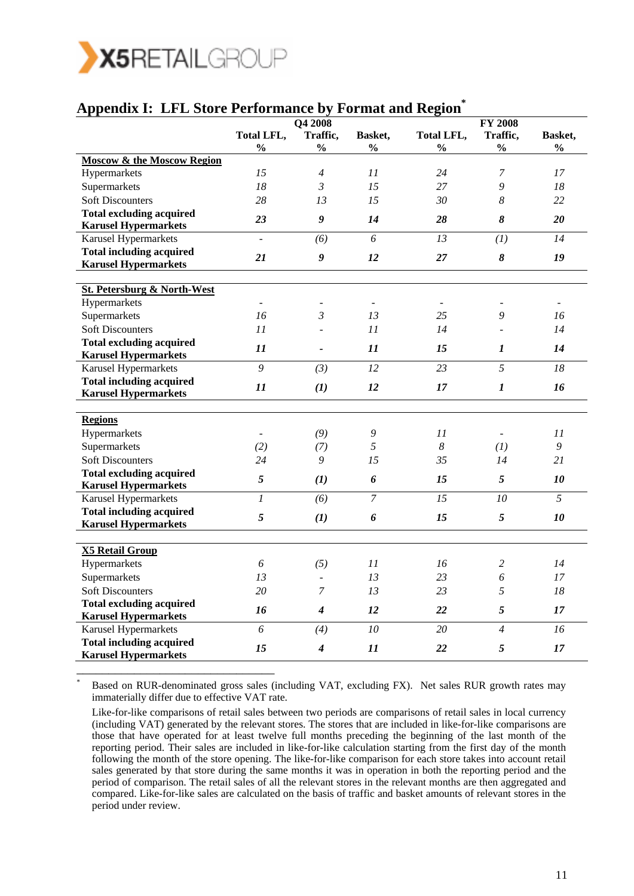

\*

| <b>Appendix I: LFL Store Performance by Format and Region</b>  |                          |                  |                          |                       |                       |                          |
|----------------------------------------------------------------|--------------------------|------------------|--------------------------|-----------------------|-----------------------|--------------------------|
|                                                                |                          | Q4 2008          |                          |                       | <b>FY 2008</b>        |                          |
|                                                                | Total LFL,               | Traffic,         | Basket,                  | Total LFL,            | Traffic,              | Basket,                  |
|                                                                | $\frac{0}{0}$            | $\frac{0}{0}$    | $\frac{0}{0}$            | $\frac{0}{0}$         | $\frac{0}{0}$         | $\frac{0}{0}$            |
| <b>Moscow &amp; the Moscow Region</b>                          |                          |                  |                          |                       |                       |                          |
| Hypermarkets                                                   | 15                       | $\overline{4}$   | 11                       | 24                    | 7                     | 17                       |
| Supermarkets                                                   | 18                       | $\mathfrak{Z}$   | 15                       | 27                    | 9                     | 18                       |
| <b>Soft Discounters</b>                                        | 28                       | 13               | 15                       | 30                    | 8                     | 22                       |
| <b>Total excluding acquired</b>                                | 23                       | 9                | 14                       | 28                    | 8                     | 20                       |
| <b>Karusel Hypermarkets</b>                                    |                          |                  | 6                        | 13                    |                       | 14                       |
| Karusel Hypermarkets                                           |                          | (6)              |                          |                       | (1)                   |                          |
| <b>Total including acquired</b><br><b>Karusel Hypermarkets</b> | 21                       | 9                | 12                       | 27                    | 8                     | 19                       |
|                                                                |                          |                  |                          |                       |                       |                          |
| <b>St. Petersburg &amp; North-West</b>                         |                          |                  |                          |                       |                       |                          |
| Hypermarkets                                                   | $\overline{a}$           |                  | $\overline{\phantom{a}}$ |                       |                       | $\overline{\phantom{a}}$ |
| Supermarkets                                                   | 16                       | 3                | 13                       | 25                    | 9                     | 16                       |
| <b>Soft Discounters</b>                                        | 11                       |                  | 11                       | 14                    |                       | 14                       |
| <b>Total excluding acquired</b>                                | 11                       |                  | 11                       | 15                    | 1                     |                          |
| <b>Karusel Hypermarkets</b>                                    |                          |                  |                          |                       |                       | 14                       |
| Karusel Hypermarkets                                           | 9                        | (3)              | 12                       | 23                    | 5                     | 18                       |
| <b>Total including acquired</b>                                | 11                       | (1)              | 12                       | 17                    | $\boldsymbol{l}$      | 16                       |
| <b>Karusel Hypermarkets</b>                                    |                          |                  |                          |                       |                       |                          |
| <b>Regions</b>                                                 |                          |                  |                          |                       |                       |                          |
| Hypermarkets                                                   | $\overline{\phantom{a}}$ | (9)              | 9                        | 11                    |                       | 11                       |
| Supermarkets                                                   | (2)                      | (7)              | 5                        | $\boldsymbol{\delta}$ | (I)                   | 9                        |
| <b>Soft Discounters</b>                                        | 24                       | 9                | 15                       | 35                    | 14                    | 21                       |
| <b>Total excluding acquired</b>                                |                          |                  |                          |                       |                       |                          |
| <b>Karusel Hypermarkets</b>                                    | 5                        | (1)              | 6                        | 15                    | 5                     | 10                       |
| Karusel Hypermarkets                                           | $\boldsymbol{l}$         | (6)              | $\overline{7}$           | 15                    | 10                    | 5                        |
| <b>Total including acquired</b>                                | 5                        | (1)              | 6                        | 15                    | $\sqrt{5}$            | 10                       |
| <b>Karusel Hypermarkets</b>                                    |                          |                  |                          |                       |                       |                          |
| <b>X5 Retail Group</b>                                         |                          |                  |                          |                       |                       |                          |
| Hypermarkets                                                   | 6                        | (5)              | 11                       | 16                    | 2                     | 14                       |
| Supermarkets                                                   | 13                       |                  | $13\,$                   | 23                    | $\boldsymbol{\delta}$ | $17\,$                   |
| <b>Soft Discounters</b>                                        | 20                       | $\boldsymbol{7}$ | 13                       | 23                    | 5                     | $18\,$                   |
| <b>Total excluding acquired</b>                                |                          |                  |                          |                       |                       |                          |
| <b>Karusel Hypermarkets</b>                                    | 16                       | $\boldsymbol{4}$ | 12                       | 22                    | $\sqrt{5}$            | 17                       |
| Karusel Hypermarkets                                           | 6                        | (4)              | 10                       | 20                    | $\overline{4}$        | 16                       |
| <b>Total including acquired</b><br><b>Karusel Hypermarkets</b> | 15                       | $\boldsymbol{4}$ | $\boldsymbol{11}$        | 22                    | $\mathfrak{s}$        | 17                       |

 Based on RUR-denominated gross sales (including VAT, excluding FX). Net sales RUR growth rates may immaterially differ due to effective VAT rate.

Like-for-like comparisons of retail sales between two periods are comparisons of retail sales in local currency (including VAT) generated by the relevant stores. The stores that are included in like-for-like comparisons are those that have operated for at least twelve full months preceding the beginning of the last month of the reporting period. Their sales are included in like-for-like calculation starting from the first day of the month following the month of the store opening. The like-for-like comparison for each store takes into account retail sales generated by that store during the same months it was in operation in both the reporting period and the period of comparison. The retail sales of all the relevant stores in the relevant months are then aggregated and compared. Like-for-like sales are calculated on the basis of traffic and basket amounts of relevant stores in the period under review.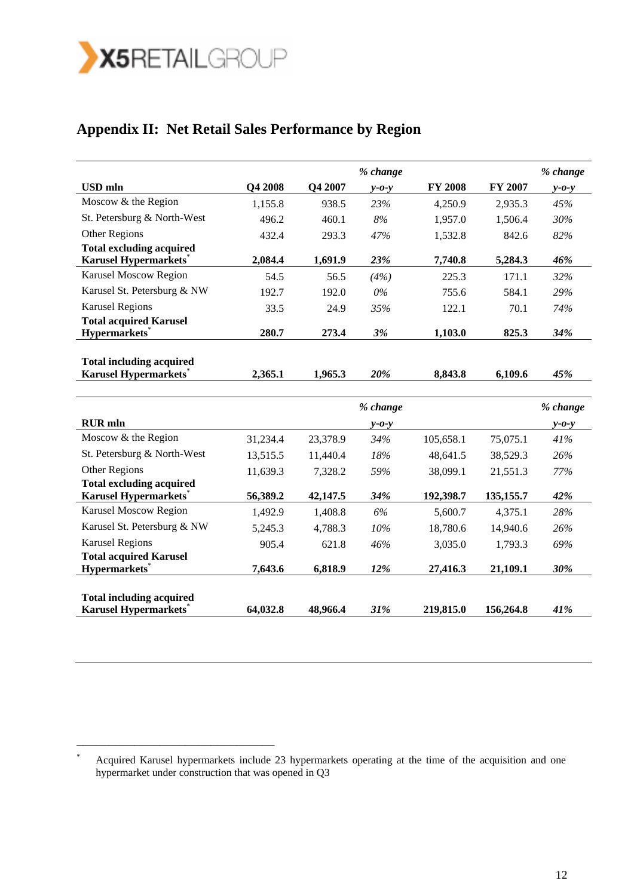

# **Appendix II: Net Retail Sales Performance by Region**

|                                                                  |                |          | % change    |                |           | % change        |
|------------------------------------------------------------------|----------------|----------|-------------|----------------|-----------|-----------------|
| <b>USD</b> mln                                                   | <b>O4 2008</b> | Q4 2007  | $v$ -0- $v$ | <b>FY 2008</b> | FY 2007   | $v$ - $o$ - $v$ |
| Moscow & the Region                                              | 1,155.8        | 938.5    | 23%         | 4,250.9        | 2,935.3   | 45%             |
| St. Petersburg & North-West                                      | 496.2          | 460.1    | 8%          | 1,957.0        | 1,506.4   | 30%             |
| Other Regions                                                    | 432.4          | 293.3    | 47%         | 1,532.8        | 842.6     | 82%             |
| <b>Total excluding acquired</b><br><b>Karusel Hypermarkets</b> * | 2,084.4        | 1,691.9  | 23%         | 7,740.8        | 5,284.3   | 46%             |
| Karusel Moscow Region                                            | 54.5           | 56.5     | (4%)        | 225.3          | 171.1     | 32%             |
| Karusel St. Petersburg & NW                                      | 192.7          | 192.0    | $0\%$       | 755.6          | 584.1     | 29%             |
| <b>Karusel Regions</b>                                           | 33.5           | 24.9     | 35%         | 122.1          | 70.1      | 74%             |
| <b>Total acquired Karusel</b>                                    |                |          |             |                |           |                 |
| Hypermarkets*                                                    | 280.7          | 273.4    | 3%          | 1,103.0        | 825.3     | 34%             |
| <b>Total including acquired</b>                                  |                |          |             |                |           |                 |
| <b>Karusel Hypermarkets</b> *                                    | 2,365.1        | 1,965.3  | 20%         | 8,843.8        | 6,109.6   | 45%             |
|                                                                  |                |          |             |                |           |                 |
|                                                                  |                |          | % change    |                |           | % change        |
| <b>RUR</b> mln                                                   |                |          | $y - 0 - y$ |                |           | $y - 0 - y$     |
| Moscow & the Region                                              | 31,234.4       | 23,378.9 | 34%         | 105,658.1      | 75,075.1  | 41%             |
| St. Petersburg & North-West                                      | 13,515.5       | 11,440.4 | 18%         | 48,641.5       | 38,529.3  | 26%             |
| Other Regions                                                    | 11,639.3       | 7,328.2  | 59%         | 38,099.1       | 21,551.3  | 77%             |
| <b>Total excluding acquired</b>                                  |                |          |             |                |           |                 |
| Karusel Hypermarkets*                                            | 56,389.2       | 42,147.5 | 34%         | 192,398.7      | 135,155.7 | 42%             |
| Karusel Moscow Region                                            | 1,492.9        | 1,408.8  | 6%          | 5,600.7        | 4,375.1   | 28%             |
| Karusel St. Petersburg & NW                                      | 5,245.3        | 4,788.3  | 10%         | 18,780.6       | 14,940.6  | 26%             |
| <b>Karusel Regions</b>                                           | 905.4          | 621.8    | 46%         | 3,035.0        | 1,793.3   | 69%             |
| <b>Total acquired Karusel</b>                                    |                |          |             |                |           |                 |
| <b>Hypermarkets</b> *                                            | 7,643.6        | 6,818.9  | 12%         | 27,416.3       | 21,109.1  | 30%             |
| <b>Total including acquired</b>                                  |                |          |             |                |           |                 |
| <b>Karusel Hypermarkets</b>                                      | 64,032.8       | 48,966.4 | 31%         | 219,815.0      | 156,264.8 | 41%             |

<sup>\*</sup> Acquired Karusel hypermarkets include 23 hypermarkets operating at the time of the acquisition and one hypermarket under construction that was opened in Q3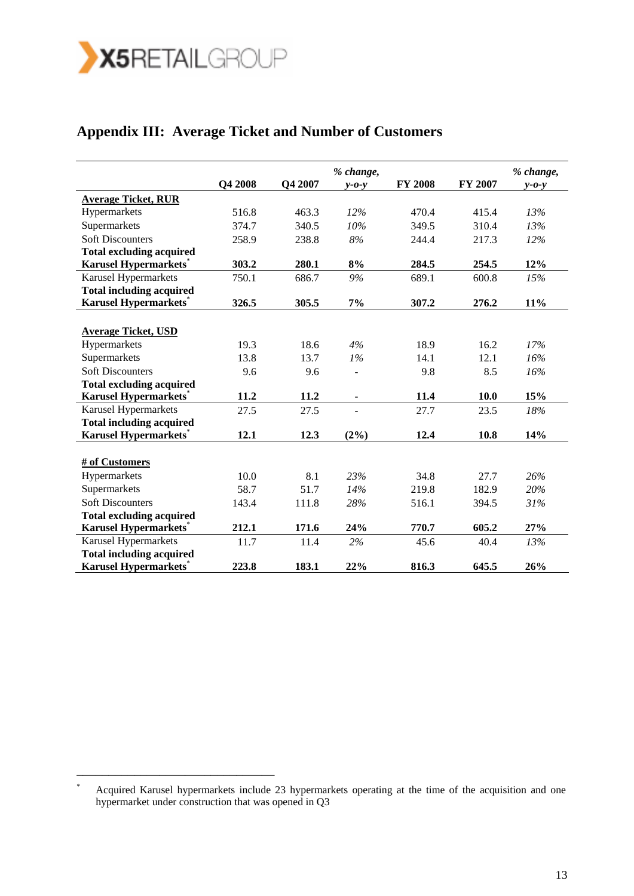

# **Appendix III: Average Ticket and Number of Customers**

|                                 |         |         | % change,       |                |         | % change,   |
|---------------------------------|---------|---------|-----------------|----------------|---------|-------------|
|                                 | Q4 2008 | Q4 2007 | $v$ - $o$ - $v$ | <b>FY 2008</b> | FY 2007 | $y - 0 - y$ |
| <b>Average Ticket, RUR</b>      |         |         |                 |                |         |             |
| Hypermarkets                    | 516.8   | 463.3   | 12%             | 470.4          | 415.4   | 13%         |
| Supermarkets                    | 374.7   | 340.5   | 10%             | 349.5          | 310.4   | 13%         |
| <b>Soft Discounters</b>         | 258.9   | 238.8   | $8\%$           | 244.4          | 217.3   | 12%         |
| <b>Total excluding acquired</b> |         |         |                 |                |         |             |
| Karusel Hypermarkets*           | 303.2   | 280.1   | 8%              | 284.5          | 254.5   | 12%         |
| Karusel Hypermarkets            | 750.1   | 686.7   | 9%              | 689.1          | 600.8   | 15%         |
| <b>Total including acquired</b> |         |         |                 |                |         |             |
| <b>Karusel Hypermarkets</b> *   | 326.5   | 305.5   | 7%              | 307.2          | 276.2   | 11%         |
|                                 |         |         |                 |                |         |             |
| <b>Average Ticket, USD</b>      |         |         |                 |                |         |             |
| Hypermarkets                    | 19.3    | 18.6    | 4%              | 18.9           | 16.2    | 17%         |
| Supermarkets                    | 13.8    | 13.7    | 1%              | 14.1           | 12.1    | 16%         |
| <b>Soft Discounters</b>         | 9.6     | 9.6     | $\overline{a}$  | 9.8            | 8.5     | 16%         |
| <b>Total excluding acquired</b> |         |         |                 |                |         |             |
| <b>Karusel Hypermarkets</b> *   | 11.2    | 11.2    | $\blacksquare$  | 11.4           | 10.0    | 15%         |
| Karusel Hypermarkets            | 27.5    | 27.5    | $\overline{a}$  | 27.7           | 23.5    | 18%         |
| <b>Total including acquired</b> |         |         |                 |                |         |             |
| <b>Karusel Hypermarkets</b>     | 12.1    | 12.3    | $(2\%)$         | 12.4           | 10.8    | 14%         |
|                                 |         |         |                 |                |         |             |
| # of Customers                  |         |         |                 |                |         |             |
| Hypermarkets                    | 10.0    | 8.1     | 23%             | 34.8           | 27.7    | 26%         |
| Supermarkets                    | 58.7    | 51.7    | 14%             | 219.8          | 182.9   | 20%         |
| <b>Soft Discounters</b>         | 143.4   | 111.8   | 28%             | 516.1          | 394.5   | 31%         |
| <b>Total excluding acquired</b> |         |         |                 |                |         |             |
| <b>Karusel Hypermarkets</b>     | 212.1   | 171.6   | 24%             | 770.7          | 605.2   | 27%         |
| Karusel Hypermarkets            | 11.7    | 11.4    | 2%              | 45.6           | 40.4    | 13%         |
| <b>Total including acquired</b> |         |         |                 |                |         |             |
| <b>Karusel Hypermarkets</b>     | 223.8   | 183.1   | 22%             | 816.3          | 645.5   | 26%         |

Acquired Karusel hypermarkets include 23 hypermarkets operating at the time of the acquisition and one hypermarket under construction that was opened in Q3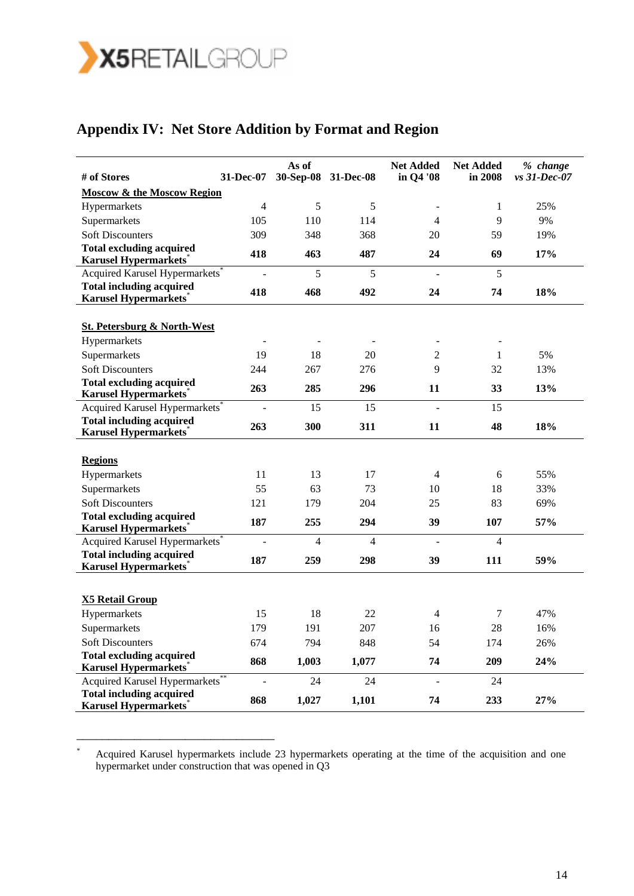

# **Appendix IV: Net Store Addition by Format and Region**

| # of Stores                                                                 | 31-Dec-07      | As of          | 30-Sep-08 31-Dec-08 | <b>Net Added</b><br>in Q4 '08 | <b>Net Added</b><br>in 2008 | % change<br>vs 31-Dec-07 |
|-----------------------------------------------------------------------------|----------------|----------------|---------------------|-------------------------------|-----------------------------|--------------------------|
| <b>Moscow &amp; the Moscow Region</b>                                       |                |                |                     |                               |                             |                          |
| Hypermarkets                                                                | $\overline{4}$ | 5              | 5                   |                               | $\mathbf{1}$                | 25%                      |
| Supermarkets                                                                | 105            | 110            | 114                 | $\overline{4}$                | 9                           | 9%                       |
| <b>Soft Discounters</b>                                                     | 309            | 348            | 368                 | 20                            | 59                          | 19%                      |
| <b>Total excluding acquired</b>                                             | 418            | 463            | 487                 | 24                            | 69                          | 17%                      |
| <b>Karusel Hypermarkets</b> *<br>Acquired Karusel Hypermarkets <sup>*</sup> |                | 5              | 5                   |                               | 5                           |                          |
| <b>Total including acquired</b>                                             |                |                |                     |                               |                             |                          |
| <b>Karusel Hypermarkets</b> *                                               | 418            | 468            | 492                 | 24                            | 74                          | 18%                      |
|                                                                             |                |                |                     |                               |                             |                          |
| <b>St. Petersburg &amp; North-West</b>                                      |                |                |                     |                               |                             |                          |
| Hypermarkets                                                                |                |                |                     |                               |                             |                          |
| Supermarkets                                                                | 19             | 18             | 20                  | $\overline{2}$                | $\mathbf{1}$                | 5%                       |
| <b>Soft Discounters</b>                                                     | 244            | 267            | 276                 | 9                             | 32                          | 13%                      |
| <b>Total excluding acquired</b>                                             | 263            | 285            | 296                 | 11                            | 33                          | 13%                      |
| <b>Karusel Hypermarkets</b> *                                               |                |                |                     |                               |                             |                          |
| Acquired Karusel Hypermarkets <sup>*</sup>                                  |                | 15             | 15                  |                               | 15                          |                          |
| <b>Total including acquired</b><br><b>Karusel Hypermarkets</b> *            | 263            | 300            | 311                 | 11                            | 48                          | 18%                      |
|                                                                             |                |                |                     |                               |                             |                          |
| <b>Regions</b>                                                              |                |                |                     |                               |                             |                          |
| Hypermarkets                                                                | 11             | 13             | 17                  | $\overline{4}$                | 6                           | 55%                      |
| Supermarkets                                                                | 55             | 63             | 73                  | 10                            | 18                          | 33%                      |
| <b>Soft Discounters</b>                                                     | 121            | 179            | 204                 | 25                            | 83                          | 69%                      |
| <b>Total excluding acquired</b>                                             | 187            | 255            | 294                 | 39                            | 107                         | 57%                      |
| <b>Karusel Hypermarkets</b> *                                               |                |                |                     |                               |                             |                          |
| Acquired Karusel Hypermarkets <sup>*</sup>                                  |                | $\overline{4}$ | $\overline{4}$      | $\overline{a}$                | $\overline{4}$              |                          |
| <b>Total including acquired</b><br><b>Karusel Hypermarkets</b>              | 187            | 259            | 298                 | 39                            | 111                         | 59%                      |
|                                                                             |                |                |                     |                               |                             |                          |
|                                                                             |                |                |                     |                               |                             |                          |
| <b>X5 Retail Group</b>                                                      |                |                |                     |                               |                             |                          |
| Hypermarkets                                                                | 15             | 18             | 22                  | $\overline{4}$                | 7                           | 47%                      |
| Supermarkets                                                                | 179            | 191            | 207                 | 16                            | 28                          | 16%                      |
| <b>Soft Discounters</b>                                                     | 674            | 794            | 848                 | 54                            | 174                         | 26%                      |
| <b>Total excluding acquired</b><br><b>Karusel Hypermarkets</b>              | 868            | 1,003          | 1,077               | 74                            | 209                         | 24%                      |
| Acquired Karusel Hypermarkets <sup>*</sup>                                  |                | 24             | 24                  | $\overline{a}$                | 24                          |                          |
| <b>Total including acquired</b><br><b>Karusel Hypermarkets</b> *            | 868            | 1,027          | 1,101               | 74                            | 233                         | 27%                      |

\* Acquired Karusel hypermarkets include 23 hypermarkets operating at the time of the acquisition and one hypermarket under construction that was opened in Q3